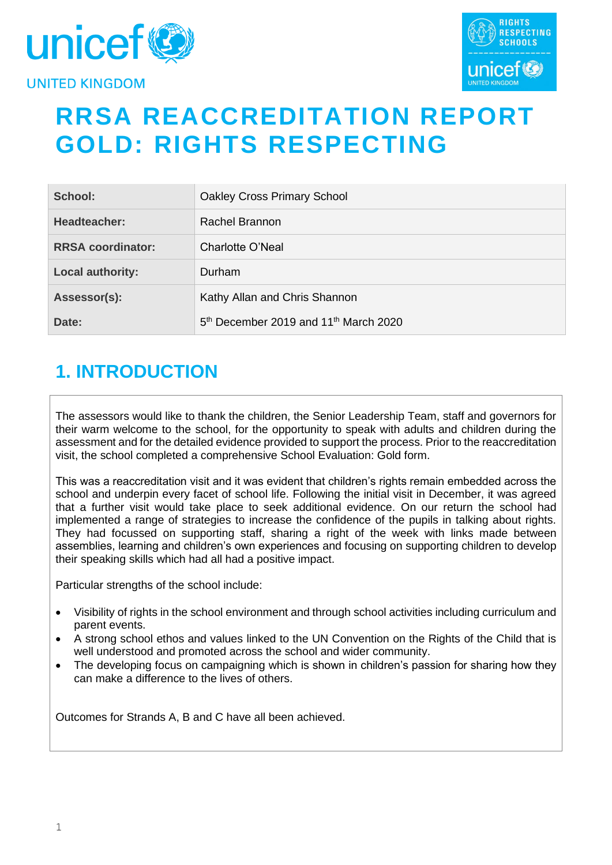



# **RRSA REACCREDITATION REPORT GOLD: RIGHTS RESPECTING**

| School:                  | <b>Oakley Cross Primary School</b>                            |
|--------------------------|---------------------------------------------------------------|
| Headteacher:             | Rachel Brannon                                                |
| <b>RRSA coordinator:</b> | Charlotte O'Neal                                              |
| Local authority:         | Durham                                                        |
| Assessor(s):             | Kathy Allan and Chris Shannon                                 |
| Date:                    | 5 <sup>th</sup> December 2019 and 11 <sup>th</sup> March 2020 |

# **1. INTRODUCTION**

The assessors would like to thank the children, the Senior Leadership Team, staff and governors for their warm welcome to the school, for the opportunity to speak with adults and children during the assessment and for the detailed evidence provided to support the process. Prior to the reaccreditation visit, the school completed a comprehensive School Evaluation: Gold form.

This was a reaccreditation visit and it was evident that children's rights remain embedded across the school and underpin every facet of school life. Following the initial visit in December, it was agreed that a further visit would take place to seek additional evidence. On our return the school had implemented a range of strategies to increase the confidence of the pupils in talking about rights. They had focussed on supporting staff, sharing a right of the week with links made between assemblies, learning and children's own experiences and focusing on supporting children to develop their speaking skills which had all had a positive impact.

Particular strengths of the school include:

- Visibility of rights in the school environment and through school activities including curriculum and parent events.
- A strong school ethos and values linked to the UN Convention on the Rights of the Child that is well understood and promoted across the school and wider community.
- The developing focus on campaigning which is shown in children's passion for sharing how they can make a difference to the lives of others.

Outcomes for Strands A, B and C have all been achieved.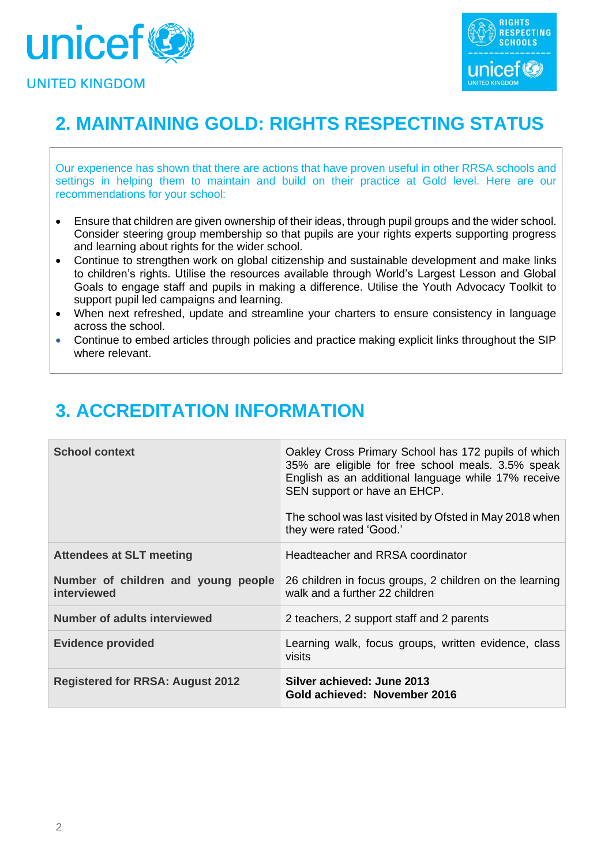



# **2. MAINTAINING GOLD: RIGHTS RESPECTING STATUS**

Our experience has shown that there are actions that have proven useful in other RRSA schools and settings in helping them to maintain and build on their practice at Gold level. Here are our recommendations for your school:

- Ensure that children are given ownership of their ideas, through pupil groups and the wider school. Consider steering group membership so that pupils are your rights experts supporting progress and learning about rights for the wider school.
- Continue to strengthen work on global citizenship and sustainable development and make links to children's rights. Utilise the resources available through World's Largest Lesson and Global Goals to engage staff and pupils in making a difference. Utilise the Youth Advocacy Toolkit to support pupil led campaigns and learning.
- When next refreshed, update and streamline your charters to ensure consistency in language across the school.
- Continue to embed articles through policies and practice making explicit links throughout the SIP where relevant.

# **3. ACCREDITATION INFORMATION**

| <b>School context</b>                              | Oakley Cross Primary School has 172 pupils of which<br>35% are eligible for free school meals. 3.5% speak<br>English as an additional language while 17% receive<br>SEN support or have an EHCP.<br>The school was last visited by Ofsted in May 2018 when<br>they were rated 'Good.' |
|----------------------------------------------------|---------------------------------------------------------------------------------------------------------------------------------------------------------------------------------------------------------------------------------------------------------------------------------------|
| <b>Attendees at SLT meeting</b>                    | Headteacher and RRSA coordinator                                                                                                                                                                                                                                                      |
| Number of children and young people<br>interviewed | 26 children in focus groups, 2 children on the learning<br>walk and a further 22 children                                                                                                                                                                                             |
| <b>Number of adults interviewed</b>                | 2 teachers, 2 support staff and 2 parents                                                                                                                                                                                                                                             |
| <b>Evidence provided</b>                           | Learning walk, focus groups, written evidence, class<br>visits                                                                                                                                                                                                                        |
| <b>Registered for RRSA: August 2012</b>            | Silver achieved: June 2013<br>Gold achieved: November 2016                                                                                                                                                                                                                            |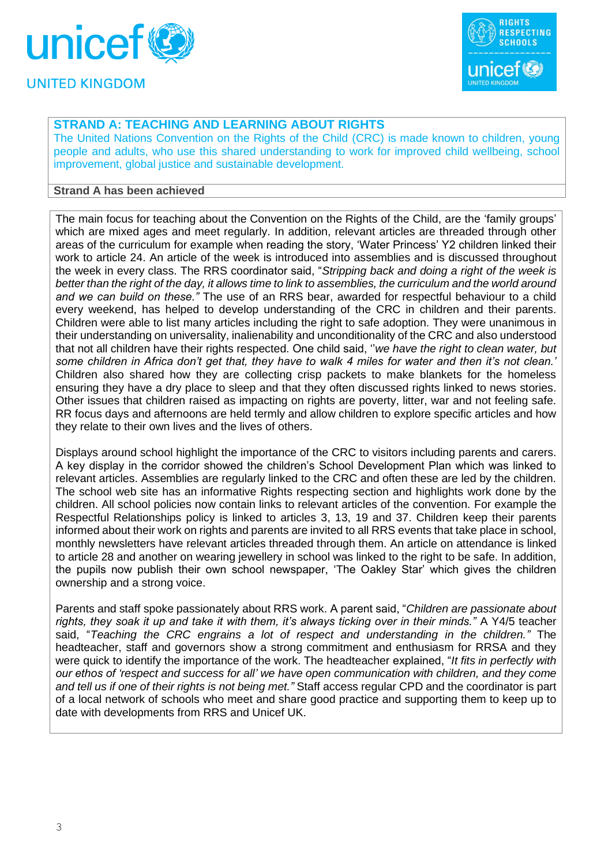



## **STRAND A: TEACHING AND LEARNING ABOUT RIGHTS**

The United Nations Convention on the Rights of the Child (CRC) is made known to children, young people and adults, who use this shared understanding to work for improved child wellbeing, school improvement, global justice and sustainable development.

#### **Strand A has been achieved**

The main focus for teaching about the Convention on the Rights of the Child, are the 'family groups' which are mixed ages and meet regularly. In addition, relevant articles are threaded through other areas of the curriculum for example when reading the story, 'Water Princess' Y2 children linked their work to article 24. An article of the week is introduced into assemblies and is discussed throughout the week in every class. The RRS coordinator said, "*Stripping back and doing a right of the week is better than the right of the day, it allows time to link to assemblies, the curriculum and the world around and we can build on these."* The use of an RRS bear, awarded for respectful behaviour to a child every weekend, has helped to develop understanding of the CRC in children and their parents. Children were able to list many articles including the right to safe adoption. They were unanimous in their understanding on universality, inalienability and unconditionality of the CRC and also understood that not all children have their rights respected. One child said, ''*we have the right to clean water, but some children in Africa don't get that, they have to walk 4 miles for water and then it's not clean.'* Children also shared how they are collecting crisp packets to make blankets for the homeless ensuring they have a dry place to sleep and that they often discussed rights linked to news stories. Other issues that children raised as impacting on rights are poverty, litter, war and not feeling safe. RR focus days and afternoons are held termly and allow children to explore specific articles and how they relate to their own lives and the lives of others.

Displays around school highlight the importance of the CRC to visitors including parents and carers. A key display in the corridor showed the children's School Development Plan which was linked to relevant articles. Assemblies are regularly linked to the CRC and often these are led by the children. The school web site has an informative Rights respecting section and highlights work done by the children. All school policies now contain links to relevant articles of the convention. For example the Respectful Relationships policy is linked to articles 3, 13, 19 and 37. Children keep their parents informed about their work on rights and parents are invited to all RRS events that take place in school, monthly newsletters have relevant articles threaded through them. An article on attendance is linked to article 28 and another on wearing jewellery in school was linked to the right to be safe. In addition, the pupils now publish their own school newspaper, 'The Oakley Star' which gives the children ownership and a strong voice.

Parents and staff spoke passionately about RRS work. A parent said, "*Children are passionate about rights, they soak it up and take it with them, it's always ticking over in their minds."* A Y4/5 teacher said, "*Teaching the CRC engrains a lot of respect and understanding in the children."* The headteacher, staff and governors show a strong commitment and enthusiasm for RRSA and they were quick to identify the importance of the work. The headteacher explained, "*It fits in perfectly with our ethos of 'respect and success for all' we have open communication with children, and they come and tell us if one of their rights is not being met."* Staff access regular CPD and the coordinator is part of a local network of schools who meet and share good practice and supporting them to keep up to date with developments from RRS and Unicef UK.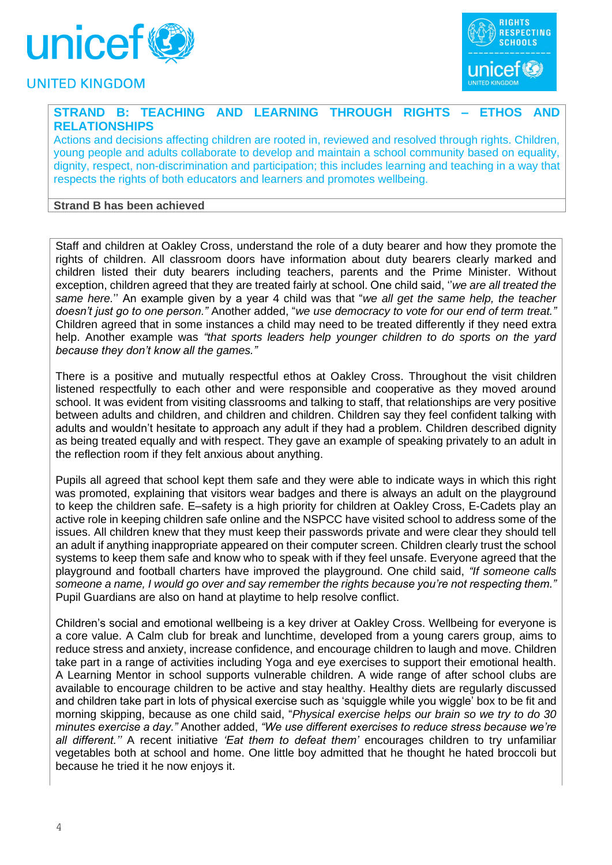



## **STRAND B: TEACHING AND LEARNING THROUGH RIGHTS – ETHOS AND RELATIONSHIPS**

Actions and decisions affecting children are rooted in, reviewed and resolved through rights. Children, young people and adults collaborate to develop and maintain a school community based on equality, dignity, respect, non-discrimination and participation; this includes learning and teaching in a way that respects the rights of both educators and learners and promotes wellbeing.

#### **Strand B has been achieved**

Staff and children at Oakley Cross, understand the role of a duty bearer and how they promote the rights of children. All classroom doors have information about duty bearers clearly marked and children listed their duty bearers including teachers, parents and the Prime Minister. Without exception, children agreed that they are treated fairly at school. One child said, ''*we are all treated the same here.*'' An example given by a year 4 child was that "*we all get the same help, the teacher doesn't just go to one person."* Another added, "*we use democracy to vote for our end of term treat."* Children agreed that in some instances a child may need to be treated differently if they need extra help. Another example was *"that sports leaders help younger children to do sports on the yard because they don't know all the games."*

There is a positive and mutually respectful ethos at Oakley Cross. Throughout the visit children listened respectfully to each other and were responsible and cooperative as they moved around school. It was evident from visiting classrooms and talking to staff, that relationships are very positive between adults and children, and children and children. Children say they feel confident talking with adults and wouldn't hesitate to approach any adult if they had a problem. Children described dignity as being treated equally and with respect. They gave an example of speaking privately to an adult in the reflection room if they felt anxious about anything.

Pupils all agreed that school kept them safe and they were able to indicate ways in which this right was promoted, explaining that visitors wear badges and there is always an adult on the playground to keep the children safe. E–safety is a high priority for children at Oakley Cross, E-Cadets play an active role in keeping children safe online and the NSPCC have visited school to address some of the issues. All children knew that they must keep their passwords private and were clear they should tell an adult if anything inappropriate appeared on their computer screen. Children clearly trust the school systems to keep them safe and know who to speak with if they feel unsafe. Everyone agreed that the playground and football charters have improved the playground. One child said, *"If someone calls someone a name, I would go over and say remember the rights because you're not respecting them."* Pupil Guardians are also on hand at playtime to help resolve conflict.

Children's social and emotional wellbeing is a key driver at Oakley Cross. Wellbeing for everyone is a core value. A Calm club for break and lunchtime, developed from a young carers group, aims to reduce stress and anxiety, increase confidence, and encourage children to laugh and move. Children take part in a range of activities including Yoga and eye exercises to support their emotional health. A Learning Mentor in school supports vulnerable children. A wide range of after school clubs are available to encourage children to be active and stay healthy. Healthy diets are regularly discussed and children take part in lots of physical exercise such as 'squiggle while you wiggle' box to be fit and morning skipping, because as one child said, "*Physical exercise helps our brain so we try to do 30 minutes exercise a day."* Another added, *"We use different exercises to reduce stress because we're all different.''* A recent initiative *'Eat them to defeat them'* encourages children to try unfamiliar vegetables both at school and home. One little boy admitted that he thought he hated broccoli but because he tried it he now enjoys it.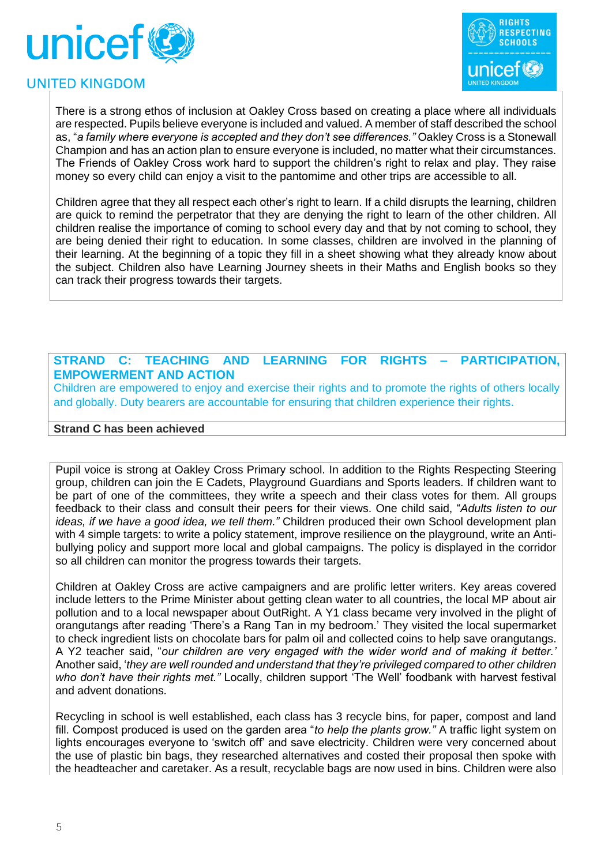



There is a strong ethos of inclusion at Oakley Cross based on creating a place where all individuals are respected. Pupils believe everyone is included and valued. A member of staff described the school as, "*a family where everyone is accepted and they don't see differences."* Oakley Cross is a Stonewall Champion and has an action plan to ensure everyone is included, no matter what their circumstances. The Friends of Oakley Cross work hard to support the children's right to relax and play. They raise money so every child can enjoy a visit to the pantomime and other trips are accessible to all.

Children agree that they all respect each other's right to learn. If a child disrupts the learning, children are quick to remind the perpetrator that they are denying the right to learn of the other children. All children realise the importance of coming to school every day and that by not coming to school, they are being denied their right to education. In some classes, children are involved in the planning of their learning. At the beginning of a topic they fill in a sheet showing what they already know about the subject. Children also have Learning Journey sheets in their Maths and English books so they can track their progress towards their targets.

### **STRAND C: TEACHING AND LEARNING FOR RIGHTS – PARTICIPATION, EMPOWERMENT AND ACTION**

Children are empowered to enjoy and exercise their rights and to promote the rights of others locally and globally. Duty bearers are accountable for ensuring that children experience their rights.

#### **Strand C has been achieved**

Pupil voice is strong at Oakley Cross Primary school. In addition to the Rights Respecting Steering group, children can join the E Cadets, Playground Guardians and Sports leaders. If children want to be part of one of the committees, they write a speech and their class votes for them. All groups feedback to their class and consult their peers for their views. One child said, "*Adults listen to our ideas, if we have a good idea, we tell them."* Children produced their own School development plan with 4 simple targets: to write a policy statement, improve resilience on the playground, write an Antibullying policy and support more local and global campaigns. The policy is displayed in the corridor so all children can monitor the progress towards their targets.

Children at Oakley Cross are active campaigners and are prolific letter writers. Key areas covered include letters to the Prime Minister about getting clean water to all countries, the local MP about air pollution and to a local newspaper about OutRight. A Y1 class became very involved in the plight of orangutangs after reading 'There's a Rang Tan in my bedroom.' They visited the local supermarket to check ingredient lists on chocolate bars for palm oil and collected coins to help save orangutangs. A Y2 teacher said, "*our children are very engaged with the wider world and of making it better.'* Another said, '*they are well rounded and understand that they're privileged compared to other children who don't have their rights met."* Locally, children support 'The Well' foodbank with harvest festival and advent donations.

Recycling in school is well established, each class has 3 recycle bins, for paper, compost and land fill. Compost produced is used on the garden area "*to help the plants grow."* A traffic light system on lights encourages everyone to 'switch off' and save electricity. Children were very concerned about the use of plastic bin bags, they researched alternatives and costed their proposal then spoke with the headteacher and caretaker. As a result, recyclable bags are now used in bins. Children were also